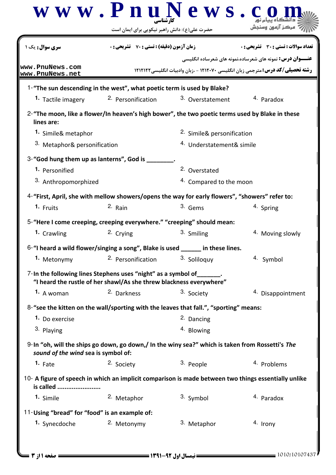|                                               | $\bf w \ w \ w \ . \ P \ n \ u \ N \ e \ w \ s \ . \ c$<br>حضرت علی(ع): دانش راهبر نیکویی برای ایمان است                             |                         |                                                                                                                  |  |
|-----------------------------------------------|--------------------------------------------------------------------------------------------------------------------------------------|-------------------------|------------------------------------------------------------------------------------------------------------------|--|
| <b>سری سوال :</b> یک ۱                        | <b>زمان آزمون (دقیقه) : تستی : 70 گشریحی: 0</b>                                                                                      |                         | <b>تعداد سوالات : تستي : 30 ٪ تشريحي : 0</b><br><b>عنـــوان درس:</b> نمونه های شعرساده،نمونه های شعرساده انگلیسی |  |
| www.PnuNews.com<br>www.PnuNews.net            |                                                                                                                                      |                         | <b>رشته تحصیلی/کد درس:</b> مترجمی زبان انگلیسی ۱۲۱۲۰۷۰ - ،زبان وادبیات انگلیسی ۱۲۱۲۱۲۲                           |  |
|                                               | 1-"The sun descending in the west", what poetic term is used by Blake?                                                               |                         |                                                                                                                  |  |
| 1. Tactile imagery                            | 2. Personification                                                                                                                   | 3. Overstatement        | 4. Paradox                                                                                                       |  |
| lines are:                                    | 2-"The moon, like a flower/In heaven's high bower", the two poetic terms used by Blake in these                                      |                         |                                                                                                                  |  |
| 1. Simile& metaphor                           |                                                                                                                                      |                         | 2. Simile& personification                                                                                       |  |
| 3. Metaphor& personification                  |                                                                                                                                      |                         | <sup>4.</sup> Understatement& simile                                                                             |  |
|                                               | 3-"God hung them up as lanterns", God is ________.                                                                                   |                         |                                                                                                                  |  |
| 1. Personified                                |                                                                                                                                      | 2. Overstated           |                                                                                                                  |  |
| 3. Anthropomorphized                          |                                                                                                                                      | 4. Compared to the moon |                                                                                                                  |  |
|                                               | 4-"First, April, she with mellow showers/opens the way for early flowers", "showers" refer to:                                       |                         |                                                                                                                  |  |
| 1. Fruits                                     | 2. Rain                                                                                                                              | 3. Gems                 | 4. Spring                                                                                                        |  |
|                                               | 5-"Here I come creeping, creeping everywhere." "creeping" should mean:                                                               |                         |                                                                                                                  |  |
| 1. Crawling                                   | 2. Crying                                                                                                                            | 3. Smiling              | <sup>4.</sup> Moving slowly                                                                                      |  |
|                                               | 6-"I heard a wild flower/singing a song", Blake is used _____ in these lines.                                                        |                         |                                                                                                                  |  |
| 1. Metonymy                                   | 2. Personification                                                                                                                   | 3. Soliloquy            | 4. Symbol                                                                                                        |  |
|                                               | 7-In the following lines Stephens uses "night" as a symbol of<br>"I heard the rustle of her shawl/As she threw blackness everywhere" |                         |                                                                                                                  |  |
| 1. A woman                                    | 2. Darkness                                                                                                                          | 3. Society              | 4. Disappointment                                                                                                |  |
|                                               | 8-"see the kitten on the wall/sporting with the leaves that fall.", "sporting" means:                                                |                         |                                                                                                                  |  |
| 1. Do exercise                                |                                                                                                                                      | 2. Dancing              |                                                                                                                  |  |
| 3. Playing                                    |                                                                                                                                      | 4. Blowing              |                                                                                                                  |  |
| sound of the wind sea is symbol of:           | 9-In "oh, will the ships go down, go down,/ In the winy sea?" which is taken from Rossetti's The                                     |                         |                                                                                                                  |  |
| $1.$ Fate                                     | 2. Society                                                                                                                           | 3. People               | <sup>4.</sup> Problems                                                                                           |  |
| is called                                     | 10- A figure of speech in which an implicit comparison is made between two things essentially unlike                                 |                         |                                                                                                                  |  |
| 1. Simile                                     | 2. Metaphor                                                                                                                          | 3. Symbol               | <sup>4.</sup> Paradox                                                                                            |  |
| 11-Using "bread" for "food" is an example of: |                                                                                                                                      |                         |                                                                                                                  |  |
| 1. Synecdoche                                 | 2. Metonymy                                                                                                                          | 3. Metaphor             | 4. Irony                                                                                                         |  |
|                                               |                                                                                                                                      |                         |                                                                                                                  |  |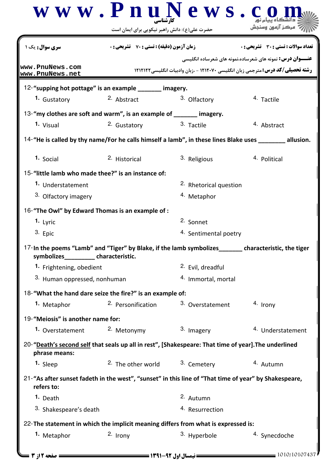|                                                                         | www.PnuNews.c<br>حضرت علی(ع): دانش راهبر نیکویی برای ایمان است                                        |                                                      |                                                                                                                                                            |
|-------------------------------------------------------------------------|-------------------------------------------------------------------------------------------------------|------------------------------------------------------|------------------------------------------------------------------------------------------------------------------------------------------------------------|
| <b>سری سوال :</b> یک ۱                                                  | <b>زمان آزمون (دقیقه) : تستی : 70 ٪ تشریحی : 0</b>                                                    |                                                      | تعداد سوالات : تستي : 30 - تشريحي : 0                                                                                                                      |
| www.PnuNews.com                                                         |                                                                                                       |                                                      | <b>عنـــوان درس:</b> نمونه های شعرساده،نمونه های شعرساده انگلیسی<br><b>رشته تحصیلی/کد درس:</b> مترجمی زبان انگلیسی ۱۲۱۲۰۷۰ - ،زبان وادبیات انگلیسی ۱۲۱۲۱۲۲ |
| www.PnuNews.net                                                         | 12-"supping hot pottage" is an example ______ imagery.                                                |                                                      |                                                                                                                                                            |
| 1. Gustatory                                                            | 2. Abstract                                                                                           | 3. Olfactory                                         | 4. Tactile                                                                                                                                                 |
|                                                                         | 13-"my clothes are soft and warm", is an example of _______ imagery.                                  |                                                      |                                                                                                                                                            |
| 1. Visual                                                               | 2. Gustatory                                                                                          | 3. Tactile                                           | 4. Abstract                                                                                                                                                |
|                                                                         |                                                                                                       |                                                      | 14-"He is called by thy name/For he calls himself a lamb", in these lines Blake uses _______ allusion.                                                     |
| 1. Social                                                               | 2. Historical                                                                                         | 3. Religious                                         | 4. Political                                                                                                                                               |
|                                                                         |                                                                                                       |                                                      |                                                                                                                                                            |
| 15-"little lamb who made thee?" is an instance of:<br>1. Understatement |                                                                                                       | 2. Rhetorical question                               |                                                                                                                                                            |
| 3. Olfactory imagery                                                    |                                                                                                       | <sup>4.</sup> Metaphor                               |                                                                                                                                                            |
|                                                                         |                                                                                                       |                                                      |                                                                                                                                                            |
| 1. Lyric                                                                | 16-"The Owl" by Edward Thomas is an example of :                                                      | 2. Sonnet                                            |                                                                                                                                                            |
| 3. Epic                                                                 |                                                                                                       | 4. Sentimental poetry                                |                                                                                                                                                            |
| symbolizes____________characteristic.                                   | 17-In the poems "Lamb" and "Tiger" by Blake, if the lamb symbolizes_______                            |                                                      | characteristic, the tiger                                                                                                                                  |
| 1. Frightening, obedient                                                |                                                                                                       | 2. Evil, dreadful                                    |                                                                                                                                                            |
| 3. Human oppressed, nonhuman                                            |                                                                                                       | 4. Immortal, mortal                                  |                                                                                                                                                            |
|                                                                         | 18-"What the hand dare seize the fire?" is an example of:                                             |                                                      |                                                                                                                                                            |
| 1. Metaphor                                                             | 2. Personification                                                                                    | 3. Overstatement                                     | 4. Irony                                                                                                                                                   |
| 19-"Meiosis" is another name for:                                       |                                                                                                       |                                                      |                                                                                                                                                            |
| 1. Overstatement <sup>2.</sup> Metonymy                                 |                                                                                                       | 3. Imagery                                           | <sup>4.</sup> Understatement                                                                                                                               |
| phrase means:                                                           | 20-"Death's second self that seals up all in rest", [Shakespeare: That time of year]. The underlined  |                                                      |                                                                                                                                                            |
| 1. Sleep                                                                |                                                                                                       | <sup>2.</sup> The other world <sup>3.</sup> Cemetery | 4. Autumn                                                                                                                                                  |
| refers to:                                                              | 21-"As after sunset fadeth in the west", "sunset" in this line of "That time of year" by Shakespeare, |                                                      |                                                                                                                                                            |
| <sup>1.</sup> Death                                                     |                                                                                                       | 2. Autumn                                            |                                                                                                                                                            |
| 3. Shakespeare's death                                                  |                                                                                                       | 4. Resurrection                                      |                                                                                                                                                            |
|                                                                         | 22- The statement in which the implicit meaning differs from what is expressed is:                    |                                                      |                                                                                                                                                            |
| <sup>1.</sup> Metaphor                                                  | 2. Irony                                                                                              | 3. Hyperbole                                         | 4. Synecdoche                                                                                                                                              |